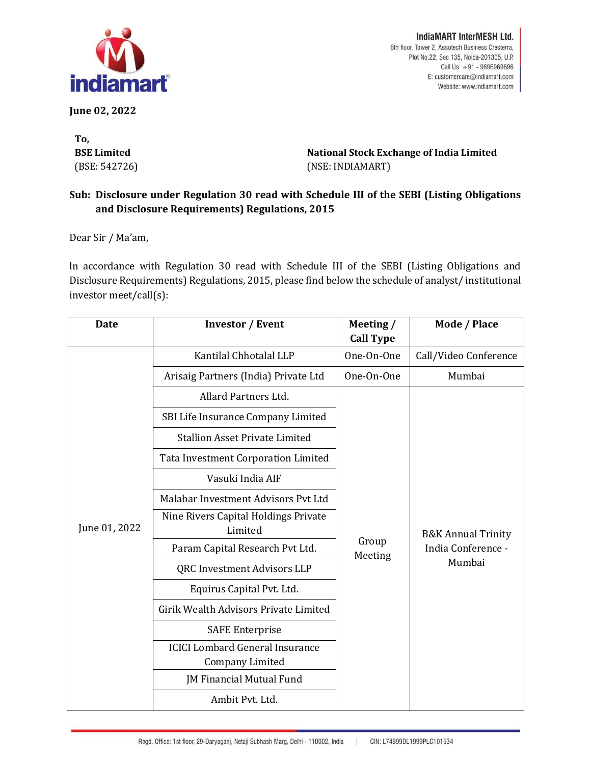

**June 02, 2022**

**To, BSE Limited** (BSE: 542726)

IndiaMART InterMESH Ltd. 6th floor, Tower 2, Assotech Business Cresterra, Plot No.22, Sec 135, Noida-201305, U.P. Call Us: +91 - 9696969696 E: customercare@indiamart.com Website: www.indiamart.com

**National Stock Exchange of India Limited** (NSE: INDIAMART)

## **Sub: Disclosure under Regulation 30 read with Schedule III of the SEBI (Listing Obligations and Disclosure Requirements) Regulations, 2015**

Dear Sir / Ma'am,

ln accordance with Regulation 30 read with Schedule III of the SEBI (Listing Obligations and Disclosure Requirements) Regulations, 2015, please find below the schedule of analyst/ institutional investor meet/call(s):

| Date          | <b>Investor / Event</b>                                   | Meeting /<br><b>Call Type</b> | Mode / Place                                                  |
|---------------|-----------------------------------------------------------|-------------------------------|---------------------------------------------------------------|
| June 01, 2022 | Kantilal Chhotalal LLP                                    | One-On-One                    | Call/Video Conference                                         |
|               | Arisaig Partners (India) Private Ltd                      | One-On-One                    | Mumbai                                                        |
|               | Allard Partners Ltd.                                      |                               |                                                               |
|               | SBI Life Insurance Company Limited                        |                               |                                                               |
|               | <b>Stallion Asset Private Limited</b>                     |                               |                                                               |
|               | Tata Investment Corporation Limited                       |                               |                                                               |
|               | Vasuki India AIF                                          |                               |                                                               |
|               | Malabar Investment Advisors Pyt Ltd                       | Group<br>Meeting              | <b>B&amp;K Annual Trinity</b><br>India Conference -<br>Mumbai |
|               | Nine Rivers Capital Holdings Private<br>Limited           |                               |                                                               |
|               | Param Capital Research Pvt Ltd.                           |                               |                                                               |
|               | QRC Investment Advisors LLP                               |                               |                                                               |
|               | Equirus Capital Pvt. Ltd.                                 |                               |                                                               |
|               | Girik Wealth Advisors Private Limited                     |                               |                                                               |
|               | <b>SAFE Enterprise</b>                                    |                               |                                                               |
|               | <b>ICICI Lombard General Insurance</b><br>Company Limited |                               |                                                               |
|               | JM Financial Mutual Fund                                  |                               |                                                               |
|               | Ambit Pvt. Ltd.                                           |                               |                                                               |